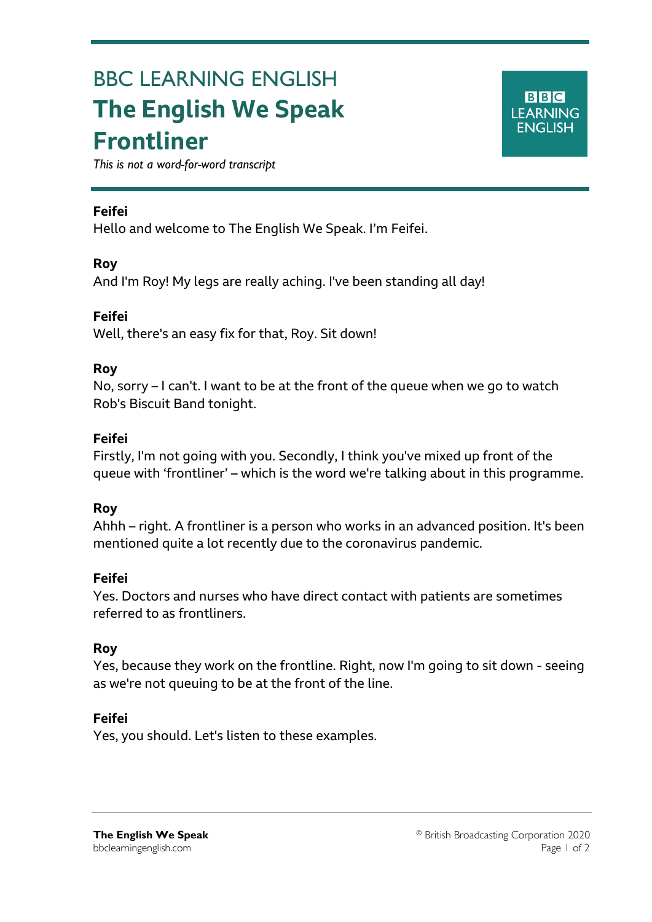# BBC LEARNING ENGLISH **The English We Speak Frontliner**

**BBC LEARNING ENGLISH** 

*This is not a word-for-word transcript*

#### **Feifei**

Ξ

Hello and welcome to The English We Speak. I'm Feifei.

#### **Roy**

And I'm Roy! My legs are really aching. I've been standing all day!

#### **Feifei**

Well, there's an easy fix for that, Roy. Sit down!

#### **Roy**

No, sorry – I can't. I want to be at the front of the queue when we go to watch Rob's Biscuit Band tonight.

#### **Feifei**

Firstly, I'm not going with you. Secondly, I think you've mixed up front of the queue with 'frontliner' – which is the word we're talking about in this programme.

## **Roy**

Ahhh – right. A frontliner is a person who works in an advanced position. It's been mentioned quite a lot recently due to the coronavirus pandemic.

## **Feifei**

Yes. Doctors and nurses who have direct contact with patients are sometimes referred to as frontliners.

## **Roy**

Yes, because they work on the frontline. Right, now I'm going to sit down - seeing as we're not queuing to be at the front of the line.

## **Feifei**

Yes, you should. Let's listen to these examples.